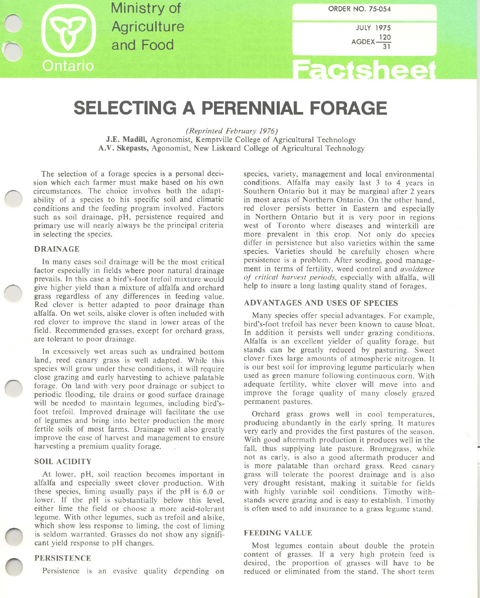

**Ministry of Agriculture** and Food

JULY 1975  $AGDEX$ <sup>120</sup> 31

# **Factsheet**

## **SELECTING A PERENNIAL FORAGE**

*(Reprinted February 1976)*

J.E. Madill, Agronomist. Kemptville College of Agricultural Technology A.V. Skepasts, Agonomist. New Liskeard College of Agricultural Technology

The selection of a forage species is a personal decision which each farmer must make based on his own circumstances. The choice involves both the adaptability of a species to his specific soil and climatic conditions and the feeding program involved. Factors such as soil drainage, pH, persistence required and primary use will nearly always be the principal criteria in selecting the species.

#### DRAINAGE

In many cases soil drainage will be the most critical factor especially in fields where poor natural drainage prevails. In this case a bird's-foot trefoil mixture would give higher yield than a mixture of alfalfa and orchard grass regardless of any differences in feeding value. Red clover is better adapted to poor drainage than alfalfa. On wet soils, alsike clover is often included with red clover to improve the stand in lower areas of the field. Recommended grasses, except for orchard grass. are tolerant to poor drainage.

In excessively wet areas such as undrained bottom land, reed canary grass is well adapted. While this species will grow under these conditions, it will require close grazing and early harvesting to achieve palatable forage. On land with very poor drainage or subject to periodic flooding, tile drains or good surface drainage will be needed to maintain legumes, including bird'sfoot trefoil. Improved drainage will facilitate the use of legumes and bring into better production the more fertile soils of most farms. Drainage will also greatly improve the ease of harvest and management to ensure harvesting a premium quality forage.

### SOIL ACIDITY

At lower, pH, soil reaction becomes important in alfalfa and especially sweet clover production. With these species, liming usually pays if the pH is 6.0 or lower. If the pH is substantially below this level, either lime the field or choose a more acid-tolerant legume. With other legumes, such as trefoil and alsike, which show less response to liming, the cost of liming is seldom warranted. Grasses do not show any significant yield response to pH changes.

#### PERSISTENCE

Persistence is an evasive quality depending on

species, variety, management and local environmental conditions. Alfalfa may easily last 3 to 4 years in Southern Ontario but it may be marginal after 2 years in most areas of Northern Ontario. On the other hand, red clover persists better in Eastern and especially in Northern Ontario but it is very poor in regions west of Toronto where diseases and winterkill are more prevalent in this crop. Not only do species differ in persistence but also varieties within the same species. Varieties should be carefully chosen where persistence is a problem. After seeding, good management in terms of fertility, weed control and *avoidance oj critical harvest periods,* especially with alfalfa. will help to insure a long lasting quality stand of forages.

#### ADVANTAGES AND USES OF SPECIES

Many species offer special advantages. For example. bird's-foot trefoil has never been known to cause bloat. In addition it persists well under grazing conditions. Alfalfa is an excellent yielder of quality forage. but stands can be greatly reduced by pasturing. Sweet clover fixes large amounts of atmospheric nitrogen. It is our best soil for improving legume particularly when used as green manure following continuous corn. With adequate fertility, white clover will move into and improve the forage quality of many closely grazed permanent pastures.

Orchard grass grows well in cool temperatures, producing abundantly in the early spring. It matures very early and provides the first pastures of the season. With good aftermath production it produces well in the fall, thus supplying late pasture. Bromegrass, while not as early, is also a good aftermath producer and is more palatable than orchard grass. Reed canary grass will tolerate the poorest drainage and is also very drought resistant, making it suitable for fields with highly variable soil conditions. Timothy withstands severe grazing and is easy to establish. Timothy is often used to add insurance to a grass legume stand.

#### FEEDING VALUE

Most legumes contain about double the protein content of grasses. If a very high protein feed is desired, the proportion of grasses will have to be reduced or eliminated from the stand. The short term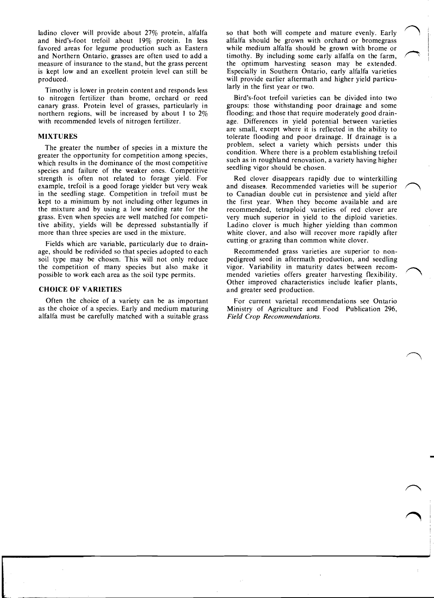ladino clover will provide about 27% protein, alfalfa and bird's-foot trefoil about 19% protein. In less favored areas for legume production such as Eastern and Northern Ontario, grasses are often used to add a measure of insurance to the stand, but the grass percent is kept low and an excellent protein level can still be produced.

Timothy is lower in protein content and responds less to nitrogen fertilizer than brome, orchard or reed canary grass. Protein level of grasses, particularly in northern regions, will be increased by about I to 2% with recommended levels of nitrogen fertilizer.

#### MIXTURES

The greater the number of species in a mixture the greater the opportunity for competition among species, which results in the dominance of the most competitive species and failure of the weaker ones. Competitive strength is often not related to forage yield. For example, trefoil is a good forage yielder but very weak in the seedling stage. Competition in trefoil must be kept to a minimum by not including other legumes in the mixture and by using a low seeding rate for the grass. Even when species are well matched for competitive ability, yields will be depressed substantially if more than three species are used in the mixture.

Fields which are variable, particularly due to drainage, should be redivided so that species adopted to each soil type may be chosen. This will not only reduce the competition of many species but also make it possible to work each area as the soil type permits.

#### CHOICE OF VARIETIES

Often the choice of a variety can be as important as the choice of a species. Early and medium maturing alfalfa must be carefully matched with a suitabie grass so that both will compete and mature evenly. Early alfalfa should be grown with orchard or bromegrass while medium alfalfa should be grown with brome or timothy. By including some early alfalfa on the farm, the optimum harvesting season may be extended. Especially in Southern Ontario, early alfalfa varieties will provide earlier aftermath and higher yield particularly in the first year or two.

Bird's-foot trefoil varieties can be divided into two groups: those withstanding poor drainage and some flooding; and those that require moderately good drainage. Differences in yield potential between varieties are small, except where it is reflected in the ability to tolerate flooding and poor drainage. If drainage is a problem, select a variety which persists under this condition. Where there is a problem establishing trefoil such as in roughland renovation, a variety having higher seedling vigor should be chosen.

Red clover disappears rapidly due to winterkilling and diseases. Recommended varieties will be superior to Canadian double cut in persistence and yield after the first year. When they become available and are recommended, tetraploid varieties of red clover are very much superior in yield to the diploid varieties. Ladino clover is much higher yielding than common white clover, and also will recover more rapidly after cutting or grazing than common white clover.

Recommended grass varieties are superior to nonpedigreed seed in aftermath production, and seedling vigor. Variability in maturity dates between recommended varieties offers greater harvesting flexibility. Other improved characteristics include leafier plants, and greater seed production.

For current varietal recommendations see Ontario Ministry of Agriculture and Food Publication 296, *Field Crop Recommendations.*